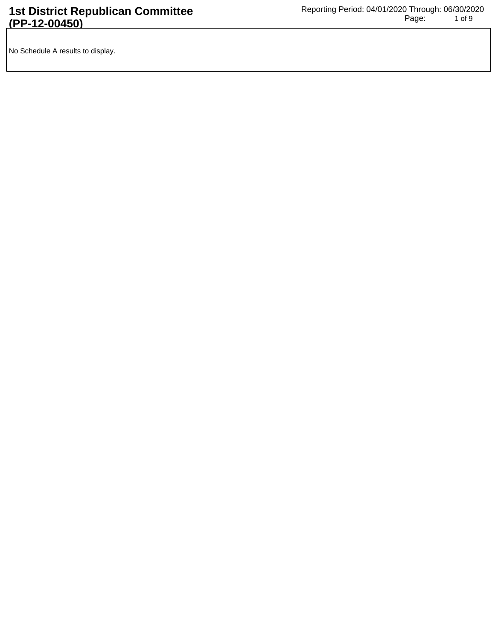No Schedule A results to display.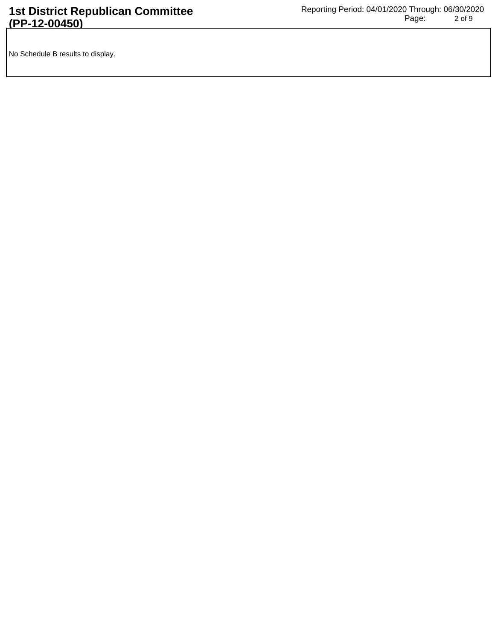No Schedule B results to display.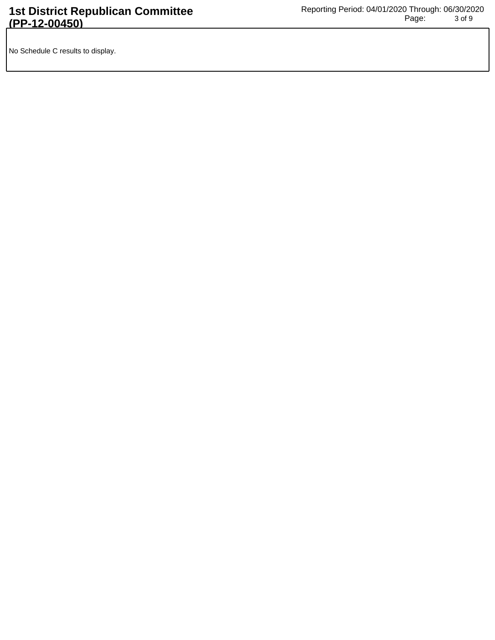No Schedule C results to display.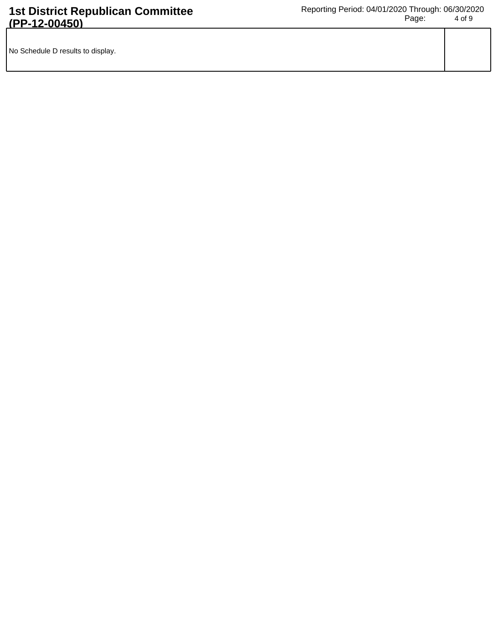| No Schedule D results to display. |  |
|-----------------------------------|--|
|                                   |  |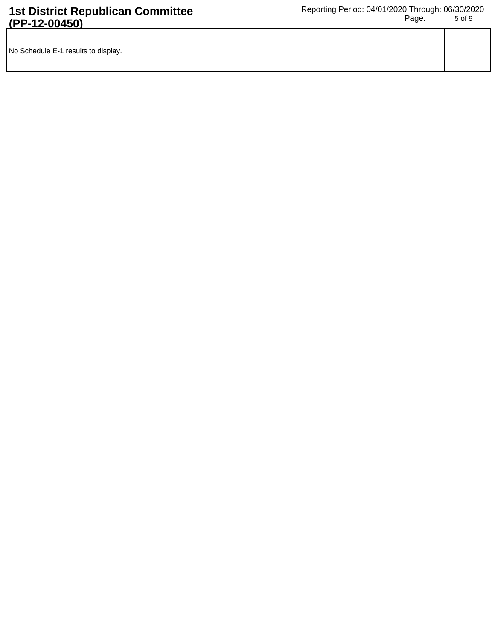| No Schedule E-1 results to display. |  |
|-------------------------------------|--|
|                                     |  |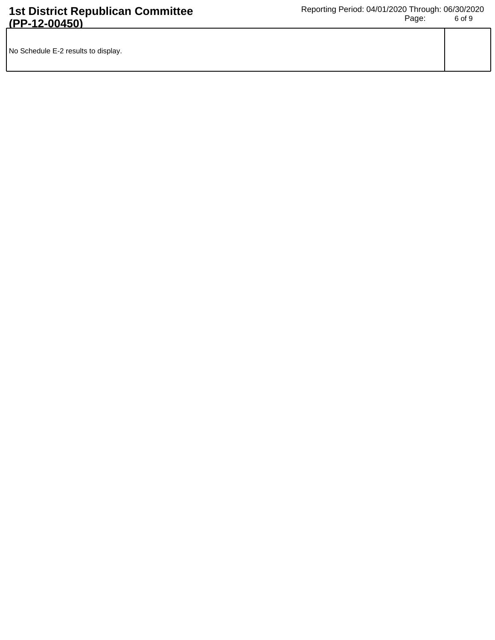| No Schedule E-2 results to display. |  |
|-------------------------------------|--|
|                                     |  |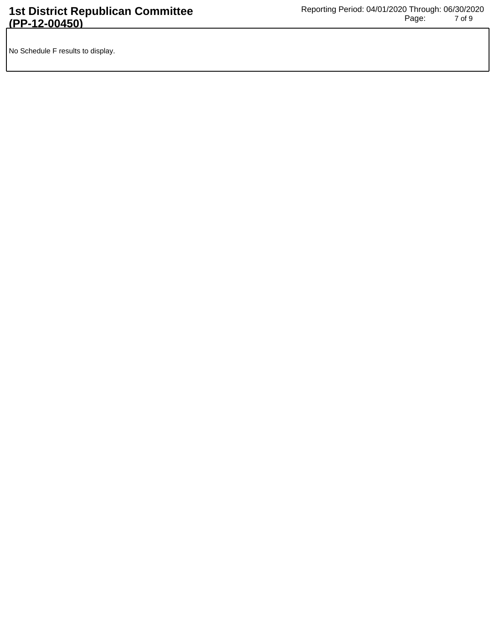No Schedule F results to display.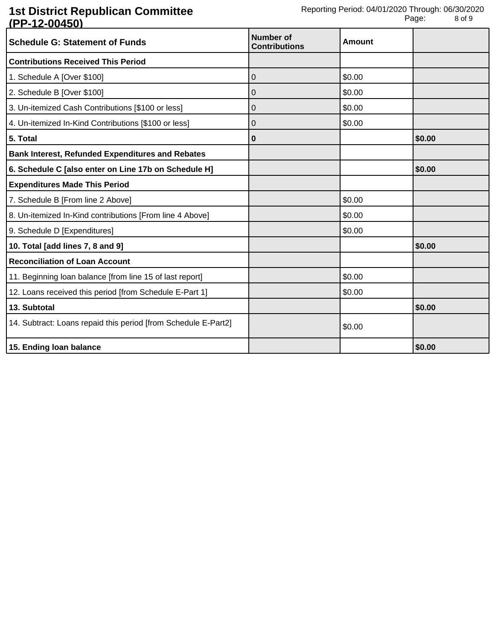## **1st District Republican Committee (PP-12-00450)**

| <b>Schedule G: Statement of Funds</b>                          | <b>Number of</b><br><b>Contributions</b> | Amount |        |
|----------------------------------------------------------------|------------------------------------------|--------|--------|
| <b>Contributions Received This Period</b>                      |                                          |        |        |
| 1. Schedule A [Over \$100]                                     | 0                                        | \$0.00 |        |
| 2. Schedule B [Over \$100]                                     | 0                                        | \$0.00 |        |
| 3. Un-itemized Cash Contributions [\$100 or less]              | 0                                        | \$0.00 |        |
| 4. Un-itemized In-Kind Contributions [\$100 or less]           | 0                                        | \$0.00 |        |
| 5. Total                                                       | 0                                        |        | \$0.00 |
| <b>Bank Interest, Refunded Expenditures and Rebates</b>        |                                          |        |        |
| 6. Schedule C [also enter on Line 17b on Schedule H]           |                                          |        | \$0.00 |
| <b>Expenditures Made This Period</b>                           |                                          |        |        |
| 7. Schedule B [From line 2 Above]                              |                                          | \$0.00 |        |
| 8. Un-itemized In-Kind contributions [From line 4 Above]       |                                          | \$0.00 |        |
| 9. Schedule D [Expenditures]                                   |                                          | \$0.00 |        |
| 10. Total [add lines 7, 8 and 9]                               |                                          |        | \$0.00 |
| <b>Reconciliation of Loan Account</b>                          |                                          |        |        |
| 11. Beginning loan balance [from line 15 of last report]       |                                          | \$0.00 |        |
| 12. Loans received this period [from Schedule E-Part 1]        |                                          | \$0.00 |        |
| 13. Subtotal                                                   |                                          |        | \$0.00 |
| 14. Subtract: Loans repaid this period [from Schedule E-Part2] |                                          | \$0.00 |        |
| 15. Ending loan balance                                        |                                          |        | \$0.00 |